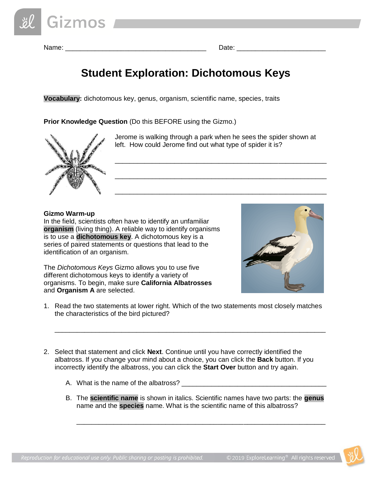Name: \_\_\_\_\_\_\_\_\_\_\_\_\_\_\_\_\_\_\_\_\_\_\_\_\_\_\_\_\_\_\_\_\_\_\_\_\_\_ Date: \_\_\_\_\_\_\_\_\_\_\_\_\_\_\_\_\_\_\_\_\_\_\_\_

# **Student Exploration: Dichotomous Keys**

**Vocabulary:** dichotomous key, genus, organism, scientific name, species, traits

**Prior Knowledge Question** (Do this BEFORE using the Gizmo.)



Jerome is walking through a park when he sees the spider shown at left. How could Jerome find out what type of spider it is?

\_\_\_\_\_\_\_\_\_\_\_\_\_\_\_\_\_\_\_\_\_\_\_\_\_\_\_\_\_\_\_\_\_\_\_\_\_\_\_\_\_\_\_\_\_\_\_\_\_\_\_\_\_\_\_\_\_

\_\_\_\_\_\_\_\_\_\_\_\_\_\_\_\_\_\_\_\_\_\_\_\_\_\_\_\_\_\_\_\_\_\_\_\_\_\_\_\_\_\_\_\_\_\_\_\_\_\_\_\_\_\_\_\_\_

\_\_\_\_\_\_\_\_\_\_\_\_\_\_\_\_\_\_\_\_\_\_\_\_\_\_\_\_\_\_\_\_\_\_\_\_\_\_\_\_\_\_\_\_\_\_\_\_\_\_\_\_\_\_\_\_\_

#### **Gizmo Warm-up**

In the field, scientists often have to identify an unfamiliar **organism** (living thing). A reliable way to identify organisms is to use a **dichotomous key**. A dichotomous key is a series of paired statements or questions that lead to the identification of an organism.

The *Dichotomous Keys* Gizmo allows you to use five different dichotomous keys to identify a variety of organisms. To begin, make sure **California Albatrosses** and **Organism A** are selected.



1. Read the two statements at lower right. Which of the two statements most closely matches the characteristics of the bird pictured?

\_\_\_\_\_\_\_\_\_\_\_\_\_\_\_\_\_\_\_\_\_\_\_\_\_\_\_\_\_\_\_\_\_\_\_\_\_\_\_\_\_\_\_\_\_\_\_\_\_\_\_\_\_\_\_\_\_\_\_\_\_\_\_\_\_\_\_\_\_\_\_\_\_

- 2. Select that statement and click **Next**. Continue until you have correctly identified the albatross. If you change your mind about a choice, you can click the **Back** button. If you incorrectly identify the albatross, you can click the **Start Over** button and try again.
	- A. What is the name of the albatross? \_\_\_\_\_\_\_\_\_\_\_\_\_\_\_\_\_\_\_\_\_\_\_\_\_\_\_\_\_\_\_\_\_\_\_\_\_\_\_
	- B. The **scientific name** is shown in italics. Scientific names have two parts: the **genus** name and the **species** name. What is the scientific name of this albatross?

\_\_\_\_\_\_\_\_\_\_\_\_\_\_\_\_\_\_\_\_\_\_\_\_\_\_\_\_\_\_\_\_\_\_\_\_\_\_\_\_\_\_\_\_\_\_\_\_\_\_\_\_\_\_\_\_\_\_\_\_\_\_\_\_\_\_\_

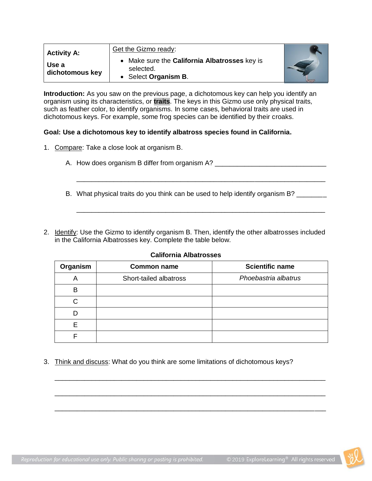| <b>Activity A:</b>       | Get the Gizmo ready:                                                               |  |
|--------------------------|------------------------------------------------------------------------------------|--|
| Use a<br>dichotomous key | • Make sure the California Albatrosses key is<br>selected.<br>• Select Organism B. |  |

**Introduction:** As you saw on the previous page, a dichotomous key can help you identify an organism using its characteristics, or **traits**. The keys in this Gizmo use only physical traits, such as feather color, to identify organisms. In some cases, behavioral traits are used in dichotomous keys. For example, some frog species can be identified by their croaks.

#### **Goal: Use a dichotomous key to identify albatross species found in California.**

- 1. Compare: Take a close look at organism B.
	- A. How does organism B differ from organism A? \_\_\_\_\_\_\_\_\_\_\_\_\_\_\_\_\_\_\_\_\_\_\_\_\_\_\_\_\_\_\_\_\_
	- B. What physical traits do you think can be used to help identify organism B? \_\_\_\_\_\_\_

\_\_\_\_\_\_\_\_\_\_\_\_\_\_\_\_\_\_\_\_\_\_\_\_\_\_\_\_\_\_\_\_\_\_\_\_\_\_\_\_\_\_\_\_\_\_\_\_\_\_\_\_\_\_\_\_\_\_\_\_\_\_\_\_\_\_\_

\_\_\_\_\_\_\_\_\_\_\_\_\_\_\_\_\_\_\_\_\_\_\_\_\_\_\_\_\_\_\_\_\_\_\_\_\_\_\_\_\_\_\_\_\_\_\_\_\_\_\_\_\_\_\_\_\_\_\_\_\_\_\_\_\_\_\_

2. Identify: Use the Gizmo to identify organism B. Then, identify the other albatrosses included in the California Albatrosses key. Complete the table below.

#### **California Albatrosses**

| Organism | <b>Common name</b>     | <b>Scientific name</b> |
|----------|------------------------|------------------------|
| Α        | Short-tailed albatross | Phoebastria albatrus   |
| B        |                        |                        |
| C.       |                        |                        |
|          |                        |                        |
| F        |                        |                        |
| F        |                        |                        |

\_\_\_\_\_\_\_\_\_\_\_\_\_\_\_\_\_\_\_\_\_\_\_\_\_\_\_\_\_\_\_\_\_\_\_\_\_\_\_\_\_\_\_\_\_\_\_\_\_\_\_\_\_\_\_\_\_\_\_\_\_\_\_\_\_\_\_\_\_\_\_\_\_

\_\_\_\_\_\_\_\_\_\_\_\_\_\_\_\_\_\_\_\_\_\_\_\_\_\_\_\_\_\_\_\_\_\_\_\_\_\_\_\_\_\_\_\_\_\_\_\_\_\_\_\_\_\_\_\_\_\_\_\_\_\_\_\_\_\_\_\_\_\_\_\_\_

\_\_\_\_\_\_\_\_\_\_\_\_\_\_\_\_\_\_\_\_\_\_\_\_\_\_\_\_\_\_\_\_\_\_\_\_\_\_\_\_\_\_\_\_\_\_\_\_\_\_\_\_\_\_\_\_\_\_\_\_\_\_\_\_\_\_\_\_\_\_\_\_\_

3. Think and discuss: What do you think are some limitations of dichotomous keys?

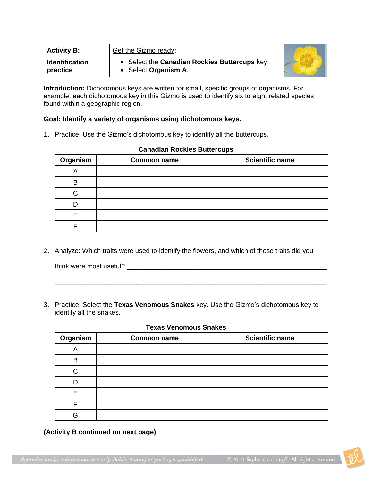| <b>Activity B:</b>                | Get the Gizmo ready:                                                  |  |
|-----------------------------------|-----------------------------------------------------------------------|--|
| <b>Identification</b><br>practice | • Select the Canadian Rockies Buttercups key.<br>• Select Organism A. |  |

**Introduction:** Dichotomous keys are written for small, specific groups of organisms. For example, each dichotomous key in this Gizmo is used to identify six to eight related species found within a geographic region.

#### **Goal: Identify a variety of organisms using dichotomous keys.**

1. Practice: Use the Gizmo's dichotomous key to identify all the buttercups.

| Organism | <b>Common name</b> | <b>Scientific name</b> |
|----------|--------------------|------------------------|
| r        |                    |                        |
| в        |                    |                        |
|          |                    |                        |
|          |                    |                        |
|          |                    |                        |
|          |                    |                        |

#### **Canadian Rockies Buttercups**

2. Analyze: Which traits were used to identify the flowers, and which of these traits did you

think were most useful? \_\_\_\_\_\_\_\_\_\_\_\_\_\_\_\_\_\_\_\_\_\_\_\_\_\_\_\_\_\_\_\_\_\_\_\_\_\_\_\_\_\_\_\_\_\_\_\_\_\_\_\_\_\_

3. Practice: Select the **Texas Venomous Snakes** key. Use the Gizmo's dichotomous key to identify all the snakes.

#### **Texas Venomous Snakes**

\_\_\_\_\_\_\_\_\_\_\_\_\_\_\_\_\_\_\_\_\_\_\_\_\_\_\_\_\_\_\_\_\_\_\_\_\_\_\_\_\_\_\_\_\_\_\_\_\_\_\_\_\_\_\_\_\_\_\_\_\_\_\_\_\_\_\_\_\_\_\_\_\_

| Organism | <b>Common name</b> | <b>Scientific name</b> |
|----------|--------------------|------------------------|
| Α        |                    |                        |
| B        |                    |                        |
| C        |                    |                        |
|          |                    |                        |
| F        |                    |                        |
| F        |                    |                        |
| A        |                    |                        |

**(Activity B continued on next page)**

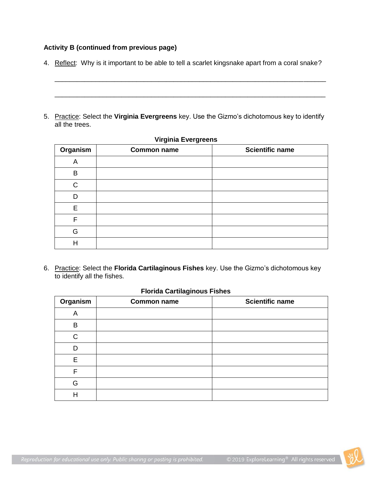### **Activity B (continued from previous page)**

4. Reflect: Why is it important to be able to tell a scarlet kingsnake apart from a coral snake?

\_\_\_\_\_\_\_\_\_\_\_\_\_\_\_\_\_\_\_\_\_\_\_\_\_\_\_\_\_\_\_\_\_\_\_\_\_\_\_\_\_\_\_\_\_\_\_\_\_\_\_\_\_\_\_\_\_\_\_\_\_\_\_\_\_\_\_\_\_\_\_\_\_

\_\_\_\_\_\_\_\_\_\_\_\_\_\_\_\_\_\_\_\_\_\_\_\_\_\_\_\_\_\_\_\_\_\_\_\_\_\_\_\_\_\_\_\_\_\_\_\_\_\_\_\_\_\_\_\_\_\_\_\_\_\_\_\_\_\_\_\_\_\_\_\_\_

5. Practice: Select the **Virginia Evergreens** key. Use the Gizmo's dichotomous key to identify all the trees.

| Organism | <b>Common name</b> | <b>Scientific name</b> |
|----------|--------------------|------------------------|
| A        |                    |                        |
| B        |                    |                        |
| C        |                    |                        |
| D        |                    |                        |
| E        |                    |                        |
| F        |                    |                        |
| G        |                    |                        |
|          |                    |                        |

#### **Virginia Evergreens**

6. Practice: Select the **Florida Cartilaginous Fishes** key. Use the Gizmo's dichotomous key to identify all the fishes.

#### **Florida Cartilaginous Fishes**

| Organism     | <b>Common name</b> | <b>Scientific name</b> |
|--------------|--------------------|------------------------|
| A            |                    |                        |
| B            |                    |                        |
| $\mathsf{C}$ |                    |                        |
| D            |                    |                        |
| E            |                    |                        |
| F            |                    |                        |
| G            |                    |                        |
| Η            |                    |                        |